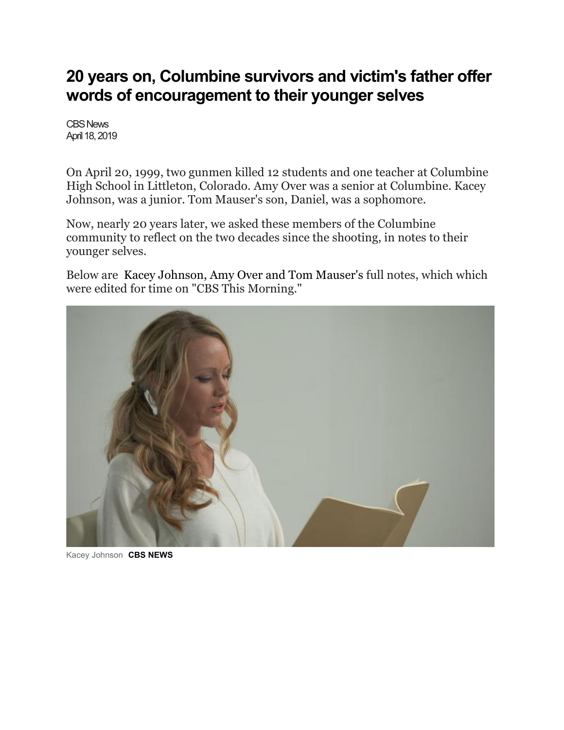## **20 years on, Columbine survivors and victim's father offer words of encouragement to their younger selves**

CBS News April 18, 2019

On April 20, 1999, two gunmen killed 12 students and one teacher at Columbine High School in Littleton, Colorado. Amy Over was a senior at Columbine. Kacey Johnson, was a junior. Tom Mauser's son, Daniel, was a sophomore.

Now, nearly 20 years later, we asked these members of the Columbine community to reflect on the two decades since the shooting, in notes to their younger selves.

Below are [Kacey Johnson,](https://www.cbsnews.com/news/columbine-shooting-anniversary-survivors-and-loved-ones-note-to-self/?fbclid=IwAR1frnf69TRyMSZdqVR6qU1GTlzRJBC3tvJwGoTG4RJkolkyE7a6n9OZP10#kacey) [Amy Over](https://www.cbsnews.com/news/columbine-shooting-anniversary-survivors-and-loved-ones-note-to-self/?fbclid=IwAR1frnf69TRyMSZdqVR6qU1GTlzRJBC3tvJwGoTG4RJkolkyE7a6n9OZP10#amy) and [Tom Mauser's](https://www.cbsnews.com/news/columbine-shooting-anniversary-survivors-and-loved-ones-note-to-self/?fbclid=IwAR1frnf69TRyMSZdqVR6qU1GTlzRJBC3tvJwGoTG4RJkolkyE7a6n9OZP10#tom) full notes, which which were edited for time on "CBS This Morning."



Kacey Johnson **CBS NEWS**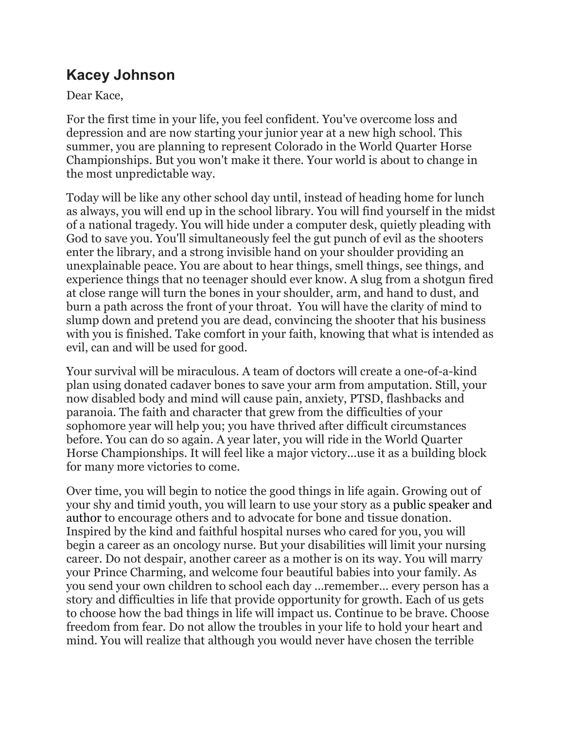## **Kacey Johnson**

Dear Kace,

For the first time in your life, you feel confident. You've overcome loss and depression and are now starting your junior year at a new high school. This summer, you are planning to represent Colorado in the World Quarter Horse Championships. But you won't make it there. Your world is about to change in the most unpredictable way.

Today will be like any other school day until, instead of heading home for lunch as always, you will end up in the school library. You will find yourself in the midst of a national tragedy. You will hide under a computer desk, quietly pleading with God to save you. You'll simultaneously feel the gut punch of evil as the shooters enter the library, and a strong invisible hand on your shoulder providing an unexplainable peace. You are about to hear things, smell things, see things, and experience things that no teenager should ever know. A slug from a shotgun fired at close range will turn the bones in your shoulder, arm, and hand to dust, and burn a path across the front of your throat. You will have the clarity of mind to slump down and pretend you are dead, convincing the shooter that his business with you is finished. Take comfort in your faith, knowing that what is intended as evil, can and will be used for good.

Your survival will be miraculous. A team of doctors will create a one-of-a-kind plan using donated cadaver bones to save your arm from amputation. Still, your now disabled body and mind will cause pain, anxiety, PTSD, flashbacks and paranoia. The faith and character that grew from the difficulties of your sophomore year will help you; you have thrived after difficult circumstances before. You can do so again. A year later, you will ride in the World Quarter Horse Championships. It will feel like a major victory...use it as a building block for many more victories to come.

Over time, you will begin to notice the good things in life again. Growing out of your shy and timid youth, you will learn to use your story as a [public speaker and](https://kaceyruegseggerjohnson.com/)  [author](https://kaceyruegseggerjohnson.com/) to encourage others and to advocate for bone and tissue donation. Inspired by the kind and faithful hospital nurses who cared for you, you will begin a career as an oncology nurse. But your disabilities will limit your nursing career. Do not despair, another career as a mother is on its way. You will marry your Prince Charming, and welcome four beautiful babies into your family. As you send your own children to school each day …remember… every person has a story and difficulties in life that provide opportunity for growth. Each of us gets to choose how the bad things in life will impact us. Continue to be brave. Choose freedom from fear. Do not allow the troubles in your life to hold your heart and mind. You will realize that although you would never have chosen the terrible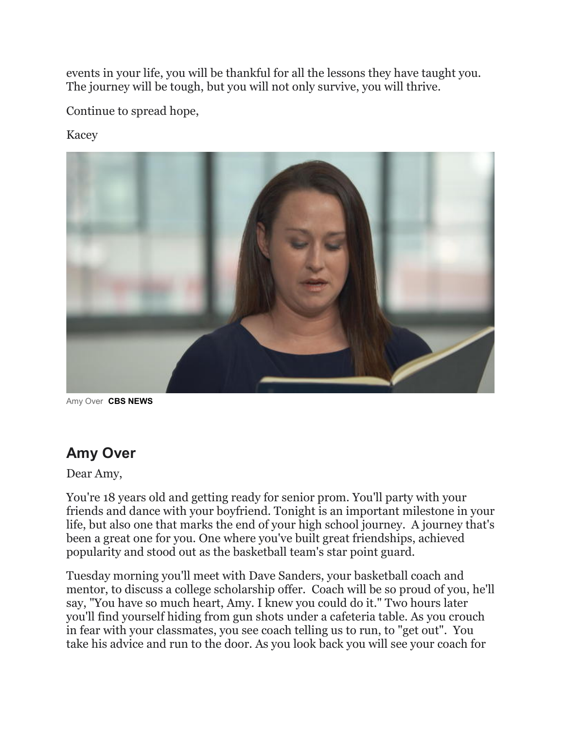events in your life, you will be thankful for all the lessons they have taught you. The journey will be tough, but you will not only survive, you will thrive.

Continue to spread hope,

Kacey



Amy Over **CBS NEWS**

## **Amy Over**

Dear Amy,

You're 18 years old and getting ready for senior prom. You'll party with your friends and dance with your boyfriend. Tonight is an important milestone in your life, but also one that marks the end of your high school journey. A journey that's been a great one for you. One where you've built great friendships, achieved popularity and stood out as the basketball team's star point guard.

Tuesday morning you'll meet with Dave Sanders, your basketball coach and mentor, to discuss a college scholarship offer. Coach will be so proud of you, he'll say, "You have so much heart, Amy. I knew you could do it." Two hours later you'll find yourself hiding from gun shots under a cafeteria table. As you crouch in fear with your classmates, you see coach telling us to run, to "get out". You take his advice and run to the door. As you look back you will see your coach for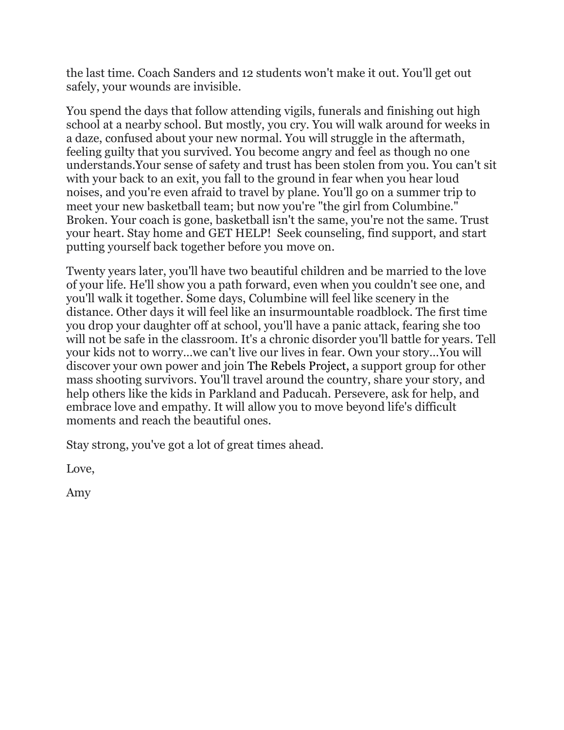the last time. Coach Sanders and 12 students won't make it out. You'll get out safely, your wounds are invisible.

You spend the days that follow attending vigils, funerals and finishing out high school at a nearby school. But mostly, you cry. You will walk around for weeks in a daze, confused about your new normal. You will struggle in the aftermath, feeling guilty that you survived. You become angry and feel as though no one understands.Your sense of safety and trust has been stolen from you. You can't sit with your back to an exit, you fall to the ground in fear when you hear loud noises, and you're even afraid to travel by plane. You'll go on a summer trip to meet your new basketball team; but now you're "the girl from Columbine." Broken. Your coach is gone, basketball isn't the same, you're not the same. Trust your heart. Stay home and GET HELP! Seek counseling, find support, and start putting yourself back together before you move on.

Twenty years later, you'll have two beautiful children and be married to the love of your life. He'll show you a path forward, even when you couldn't see one, and you'll walk it together. Some days, Columbine will feel like scenery in the distance. Other days it will feel like an insurmountable roadblock. The first time you drop your daughter off at school, you'll have a panic attack, fearing she too will not be safe in the classroom. It's a chronic disorder you'll battle for years. Tell your kids not to worry…we can't live our lives in fear. Own your story…You will discover your own power and join [The Rebels Project,](http://therebelsproject.org/) a support group for other mass shooting survivors. You'll travel around the country, share your story, and help others like the kids in Parkland and Paducah. Persevere, ask for help, and embrace love and empathy. It will allow you to move beyond life's difficult moments and reach the beautiful ones.

Stay strong, you've got a lot of great times ahead.

Love,

Amy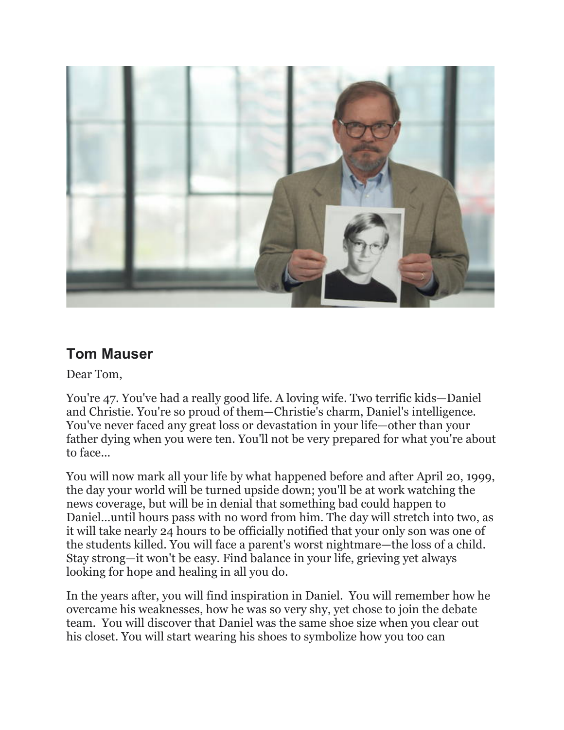

## **Tom Mauser**

Dear Tom,

You're 47. You've had a really good life. A loving wife. Two terrific kids—Daniel and Christie. You're so proud of them—Christie's charm, Daniel's intelligence. You've never faced any great loss or devastation in your life—other than your father dying when you were ten. You'll not be very prepared for what you're about to face...

You will now mark all your life by what happened before and after April 20, 1999, the day your world will be turned upside down; you'll be at work watching the news coverage, but will be in denial that something bad could happen to Daniel…until hours pass with no word from him. The day will stretch into two, as it will take nearly 24 hours to be officially notified that your only son was one of the students killed. You will face a parent's worst nightmare—the loss of a child. Stay strong—it won't be easy. Find balance in your life, grieving yet always looking for hope and healing in all you do.

In the years after, you will find inspiration in Daniel. You will remember how he overcame his weaknesses, how he was so very shy, yet chose to join the debate team. You will discover that Daniel was the same shoe size when you clear out his closet. You will start wearing his shoes to symbolize how you too can